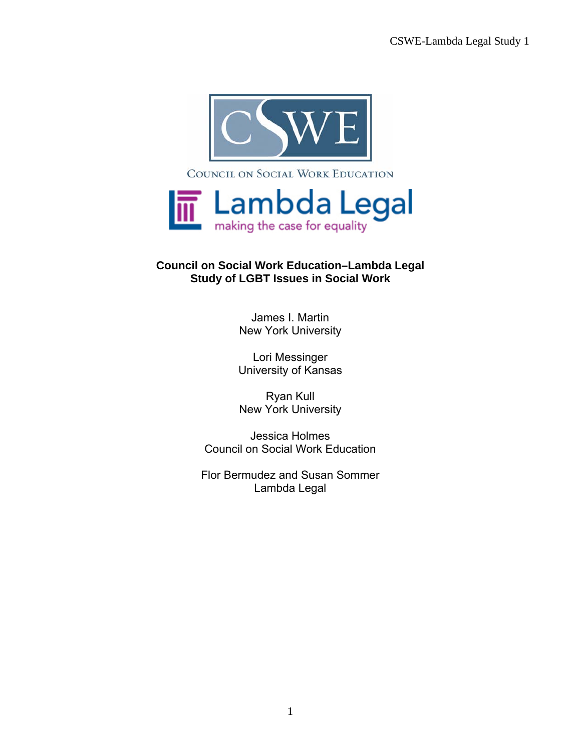

## **Council on Social Work Education–Lambda Legal Study of LGBT Issues in Social Work**

James I. Martin New York University

Lori Messinger University of Kansas

Ryan Kull New York University

Jessica Holmes Council on Social Work Education

Flor Bermudez and Susan Sommer Lambda Legal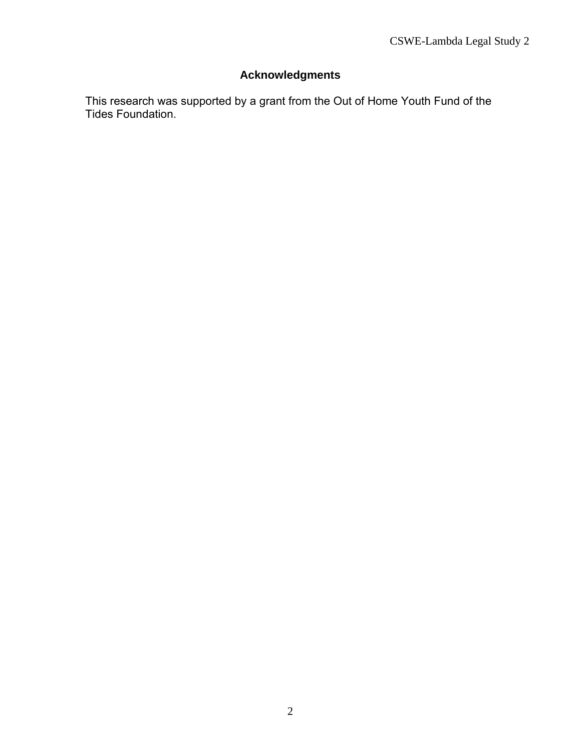# **Acknowledgments**

This research was supported by a grant from the Out of Home Youth Fund of the Tides Foundation.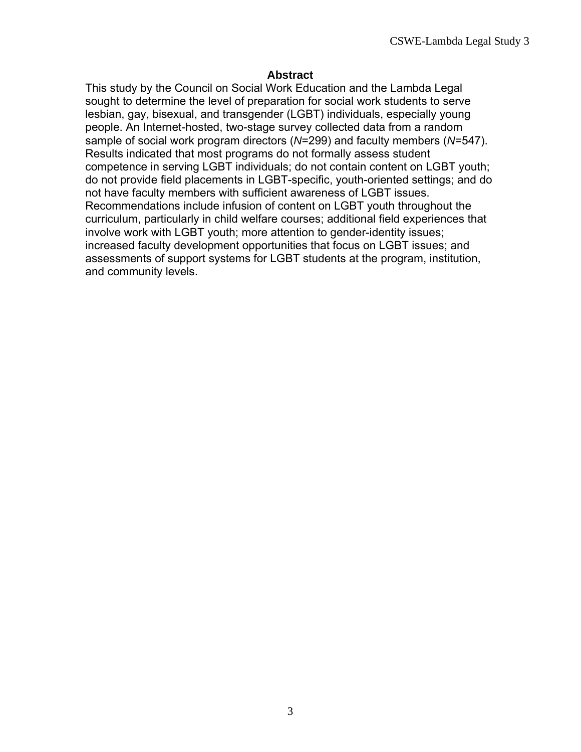#### **Abstract**

This study by the Council on Social Work Education and the Lambda Legal sought to determine the level of preparation for social work students to serve lesbian, gay, bisexual, and transgender (LGBT) individuals, especially young people. An Internet-hosted, two-stage survey collected data from a random sample of social work program directors (*N*=299) and faculty members (*N*=547). Results indicated that most programs do not formally assess student competence in serving LGBT individuals; do not contain content on LGBT youth; do not provide field placements in LGBT-specific, youth-oriented settings; and do not have faculty members with sufficient awareness of LGBT issues. Recommendations include infusion of content on LGBT youth throughout the curriculum, particularly in child welfare courses; additional field experiences that involve work with LGBT youth; more attention to gender-identity issues; increased faculty development opportunities that focus on LGBT issues; and assessments of support systems for LGBT students at the program, institution, and community levels.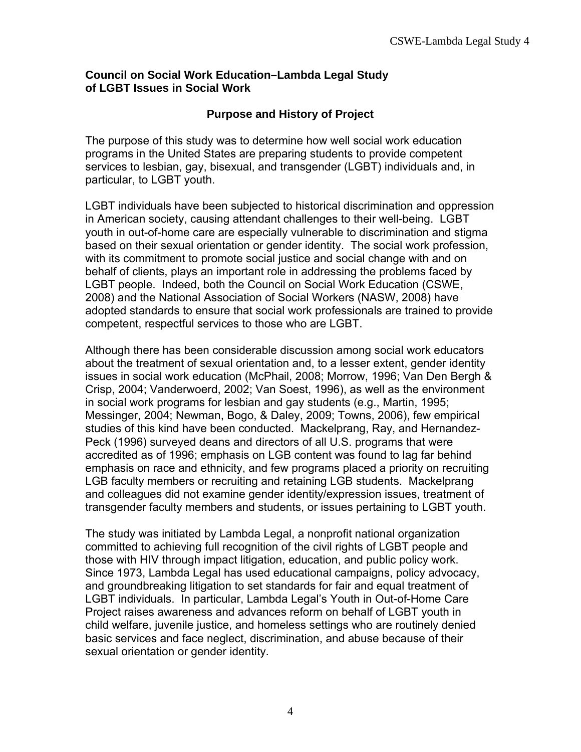### **Council on Social Work Education–Lambda Legal Study of LGBT Issues in Social Work**

## **Purpose and History of Project**

The purpose of this study was to determine how well social work education programs in the United States are preparing students to provide competent services to lesbian, gay, bisexual, and transgender (LGBT) individuals and, in particular, to LGBT youth.

LGBT individuals have been subjected to historical discrimination and oppression in American society, causing attendant challenges to their well-being. LGBT youth in out-of-home care are especially vulnerable to discrimination and stigma based on their sexual orientation or gender identity. The social work profession, with its commitment to promote social justice and social change with and on behalf of clients, plays an important role in addressing the problems faced by LGBT people. Indeed, both the Council on Social Work Education (CSWE, 2008) and the National Association of Social Workers (NASW, 2008) have adopted standards to ensure that social work professionals are trained to provide competent, respectful services to those who are LGBT.

Although there has been considerable discussion among social work educators about the treatment of sexual orientation and, to a lesser extent, gender identity issues in social work education (McPhail, 2008; Morrow, 1996; Van Den Bergh & Crisp, 2004; Vanderwoerd, 2002; Van Soest, 1996), as well as the environment in social work programs for lesbian and gay students (e.g., Martin, 1995; Messinger, 2004; Newman, Bogo, & Daley, 2009; Towns, 2006), few empirical studies of this kind have been conducted. Mackelprang, Ray, and Hernandez-Peck (1996) surveyed deans and directors of all U.S. programs that were accredited as of 1996; emphasis on LGB content was found to lag far behind emphasis on race and ethnicity, and few programs placed a priority on recruiting LGB faculty members or recruiting and retaining LGB students. Mackelprang and colleagues did not examine gender identity/expression issues, treatment of transgender faculty members and students, or issues pertaining to LGBT youth.

The study was initiated by Lambda Legal, a nonprofit national organization committed to achieving full recognition of the civil rights of LGBT people and those with HIV through impact litigation, education, and public policy work. Since 1973, Lambda Legal has used educational campaigns, policy advocacy, and groundbreaking litigation to set standards for fair and equal treatment of LGBT individuals. In particular, Lambda Legal's Youth in Out-of-Home Care Project raises awareness and advances reform on behalf of LGBT youth in child welfare, juvenile justice, and homeless settings who are routinely denied basic services and face neglect, discrimination, and abuse because of their sexual orientation or gender identity.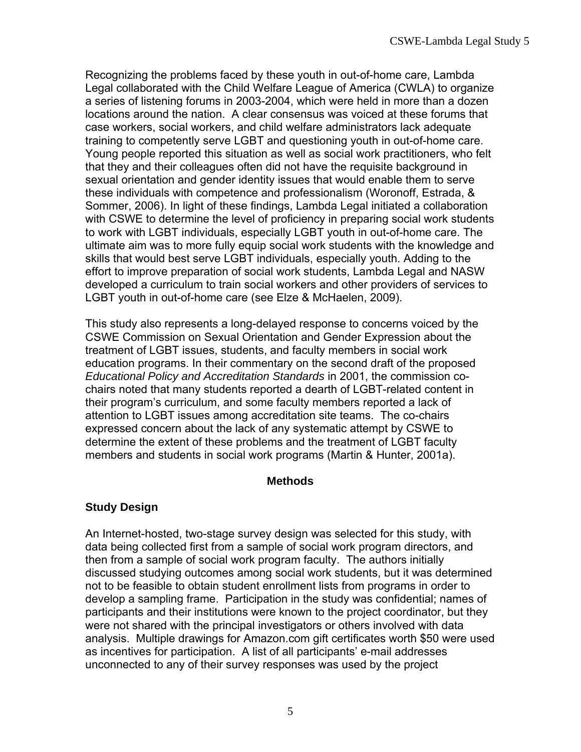Recognizing the problems faced by these youth in out-of-home care, Lambda Legal collaborated with the Child Welfare League of America (CWLA) to organize a series of listening forums in 2003-2004, which were held in more than a dozen locations around the nation. A clear consensus was voiced at these forums that case workers, social workers, and child welfare administrators lack adequate training to competently serve LGBT and questioning youth in out-of-home care. Young people reported this situation as well as social work practitioners, who felt that they and their colleagues often did not have the requisite background in sexual orientation and gender identity issues that would enable them to serve these individuals with competence and professionalism (Woronoff, Estrada, & Sommer, 2006). In light of these findings, Lambda Legal initiated a collaboration with CSWE to determine the level of proficiency in preparing social work students to work with LGBT individuals, especially LGBT youth in out-of-home care. The ultimate aim was to more fully equip social work students with the knowledge and skills that would best serve LGBT individuals, especially youth. Adding to the effort to improve preparation of social work students, Lambda Legal and NASW developed a curriculum to train social workers and other providers of services to LGBT youth in out-of-home care (see Elze & McHaelen, 2009).

This study also represents a long-delayed response to concerns voiced by the CSWE Commission on Sexual Orientation and Gender Expression about the treatment of LGBT issues, students, and faculty members in social work education programs. In their commentary on the second draft of the proposed *Educational Policy and Accreditation Standards* in 2001, the commission cochairs noted that many students reported a dearth of LGBT-related content in their program's curriculum, and some faculty members reported a lack of attention to LGBT issues among accreditation site teams. The co-chairs expressed concern about the lack of any systematic attempt by CSWE to determine the extent of these problems and the treatment of LGBT faculty members and students in social work programs (Martin & Hunter, 2001a).

#### **Methods**

# **Study Design**

An Internet-hosted, two-stage survey design was selected for this study, with data being collected first from a sample of social work program directors, and then from a sample of social work program faculty. The authors initially discussed studying outcomes among social work students, but it was determined not to be feasible to obtain student enrollment lists from programs in order to develop a sampling frame. Participation in the study was confidential; names of participants and their institutions were known to the project coordinator, but they were not shared with the principal investigators or others involved with data analysis. Multiple drawings for Amazon.com gift certificates worth \$50 were used as incentives for participation. A list of all participants' e-mail addresses unconnected to any of their survey responses was used by the project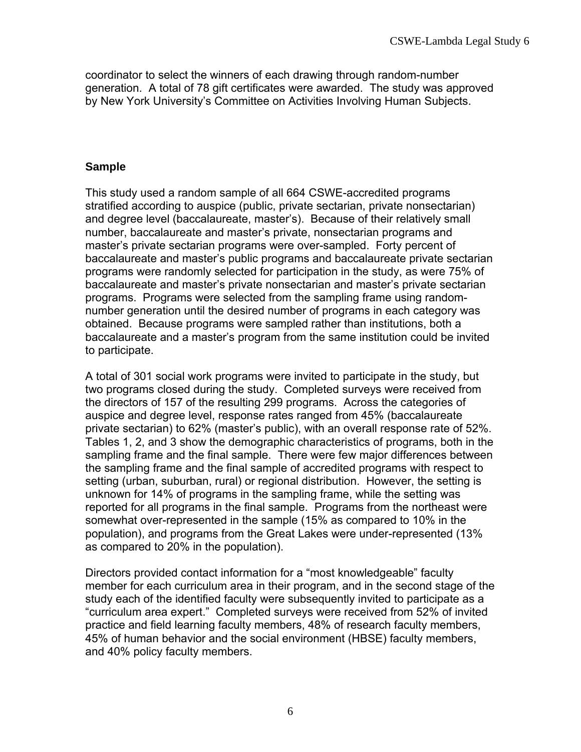coordinator to select the winners of each drawing through random-number generation. A total of 78 gift certificates were awarded. The study was approved by New York University's Committee on Activities Involving Human Subjects.

## **Sample**

This study used a random sample of all 664 CSWE-accredited programs stratified according to auspice (public, private sectarian, private nonsectarian) and degree level (baccalaureate, master's). Because of their relatively small number, baccalaureate and master's private, nonsectarian programs and master's private sectarian programs were over-sampled. Forty percent of baccalaureate and master's public programs and baccalaureate private sectarian programs were randomly selected for participation in the study, as were 75% of baccalaureate and master's private nonsectarian and master's private sectarian programs. Programs were selected from the sampling frame using randomnumber generation until the desired number of programs in each category was obtained. Because programs were sampled rather than institutions, both a baccalaureate and a master's program from the same institution could be invited to participate.

A total of 301 social work programs were invited to participate in the study, but two programs closed during the study. Completed surveys were received from the directors of 157 of the resulting 299 programs. Across the categories of auspice and degree level, response rates ranged from 45% (baccalaureate private sectarian) to 62% (master's public), with an overall response rate of 52%. Tables 1, 2, and 3 show the demographic characteristics of programs, both in the sampling frame and the final sample. There were few major differences between the sampling frame and the final sample of accredited programs with respect to setting (urban, suburban, rural) or regional distribution. However, the setting is unknown for 14% of programs in the sampling frame, while the setting was reported for all programs in the final sample. Programs from the northeast were somewhat over-represented in the sample (15% as compared to 10% in the population), and programs from the Great Lakes were under-represented (13% as compared to 20% in the population).

Directors provided contact information for a "most knowledgeable" faculty member for each curriculum area in their program, and in the second stage of the study each of the identified faculty were subsequently invited to participate as a "curriculum area expert." Completed surveys were received from 52% of invited practice and field learning faculty members, 48% of research faculty members, 45% of human behavior and the social environment (HBSE) faculty members, and 40% policy faculty members.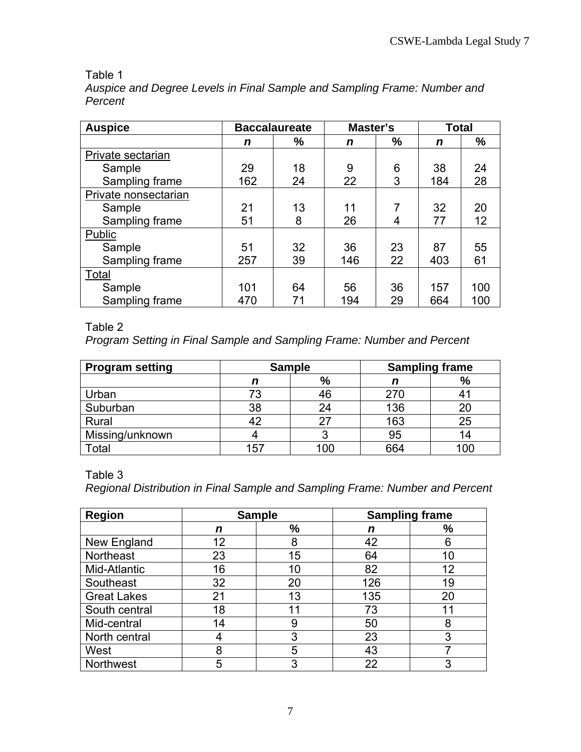# Table 1

*Auspice and Degree Levels in Final Sample and Sampling Frame: Number and Percent* 

| <b>Auspice</b>       |     | <b>Baccalaureate</b> | Master's |    | <b>Total</b> |     |
|----------------------|-----|----------------------|----------|----|--------------|-----|
|                      | n   | $\frac{0}{0}$        | n        | %  | $\mathbf n$  | %   |
| Private sectarian    |     |                      |          |    |              |     |
| Sample               | 29  | 18                   | 9        | 6  | 38           | 24  |
| Sampling frame       | 162 | 24                   | 22       | 3  | 184          | 28  |
| Private nonsectarian |     |                      |          |    |              |     |
| Sample               | 21  | 13                   | 11       | 7  | 32           | 20  |
| Sampling frame       | 51  | 8                    | 26       | 4  | 77           | 12  |
| Public               |     |                      |          |    |              |     |
| Sample               | 51  | 32                   | 36       | 23 | 87           | 55  |
| Sampling frame       | 257 | 39                   | 146      | 22 | 403          | 61  |
| Total                |     |                      |          |    |              |     |
| Sample               | 101 | 64                   | 56       | 36 | 157          | 100 |
| Sampling frame       | 470 | 71                   | 194      | 29 | 664          | 100 |

# Table 2

*Program Setting in Final Sample and Sampling Frame: Number and Percent* 

| <b>Program setting</b> |     | <b>Sampling frame</b> |     | <b>Sample</b> |  |  |
|------------------------|-----|-----------------------|-----|---------------|--|--|
|                        | n   | $\frac{9}{6}$         |     | %             |  |  |
| Urban                  | 73  | 46                    | 270 |               |  |  |
| Suburban               | 38  | 24                    | 136 | 20            |  |  |
| Rural                  |     | 27                    | 163 | 25            |  |  |
| Missing/unknown        |     |                       | 95  | 14            |  |  |
| Total                  | 157 | 10C                   | 664 | 100           |  |  |

Table 3

*Regional Distribution in Final Sample and Sampling Frame: Number and Percent* 

| <b>Region</b>      |    | <b>Sampling frame</b><br><b>Sample</b> |     |    |
|--------------------|----|----------------------------------------|-----|----|
|                    | n  | %                                      | n   | %  |
| New England        | 12 | 8                                      | 42  | 6  |
| <b>Northeast</b>   | 23 | 15                                     | 64  | 10 |
| Mid-Atlantic       | 16 | 10                                     | 82  | 12 |
| Southeast          | 32 | 20                                     | 126 | 19 |
| <b>Great Lakes</b> | 21 | 13                                     | 135 | 20 |
| South central      | 18 | 11                                     | 73  | 11 |
| Mid-central        | 14 | 9                                      | 50  | 8  |
| North central      | 4  | 3                                      | 23  | 3  |
| West               | 8  | 5                                      | 43  |    |
| Northwest          | 5  | 3                                      | 22  | 3  |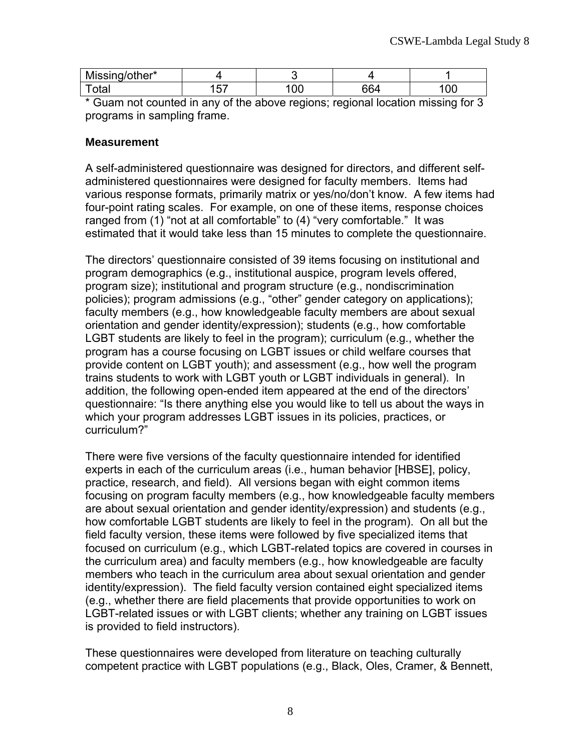| Missing/other* |    |          |             |    |
|----------------|----|----------|-------------|----|
| ⊺otaı          | -- | ിവ<br>ັັ | <b>00 A</b> | UU |

\* Guam not counted in any of the above regions; regional location missing for 3 programs in sampling frame.

#### **Measurement**

A self-administered questionnaire was designed for directors, and different selfadministered questionnaires were designed for faculty members. Items had various response formats, primarily matrix or yes/no/don't know. A few items had four-point rating scales. For example, on one of these items, response choices ranged from (1) "not at all comfortable" to (4) "very comfortable." It was estimated that it would take less than 15 minutes to complete the questionnaire.

The directors' questionnaire consisted of 39 items focusing on institutional and program demographics (e.g., institutional auspice, program levels offered, program size); institutional and program structure (e.g., nondiscrimination policies); program admissions (e.g., "other" gender category on applications); faculty members (e.g., how knowledgeable faculty members are about sexual orientation and gender identity/expression); students (e.g., how comfortable LGBT students are likely to feel in the program); curriculum (e.g., whether the program has a course focusing on LGBT issues or child welfare courses that provide content on LGBT youth); and assessment (e.g., how well the program trains students to work with LGBT youth or LGBT individuals in general). In addition, the following open-ended item appeared at the end of the directors' questionnaire: "Is there anything else you would like to tell us about the ways in which your program addresses LGBT issues in its policies, practices, or curriculum?"

There were five versions of the faculty questionnaire intended for identified experts in each of the curriculum areas (i.e., human behavior [HBSE], policy, practice, research, and field). All versions began with eight common items focusing on program faculty members (e.g., how knowledgeable faculty members are about sexual orientation and gender identity/expression) and students (e.g., how comfortable LGBT students are likely to feel in the program). On all but the field faculty version, these items were followed by five specialized items that focused on curriculum (e.g., which LGBT-related topics are covered in courses in the curriculum area) and faculty members (e.g., how knowledgeable are faculty members who teach in the curriculum area about sexual orientation and gender identity/expression). The field faculty version contained eight specialized items (e.g., whether there are field placements that provide opportunities to work on LGBT-related issues or with LGBT clients; whether any training on LGBT issues is provided to field instructors).

These questionnaires were developed from literature on teaching culturally competent practice with LGBT populations (e.g., Black, Oles, Cramer, & Bennett,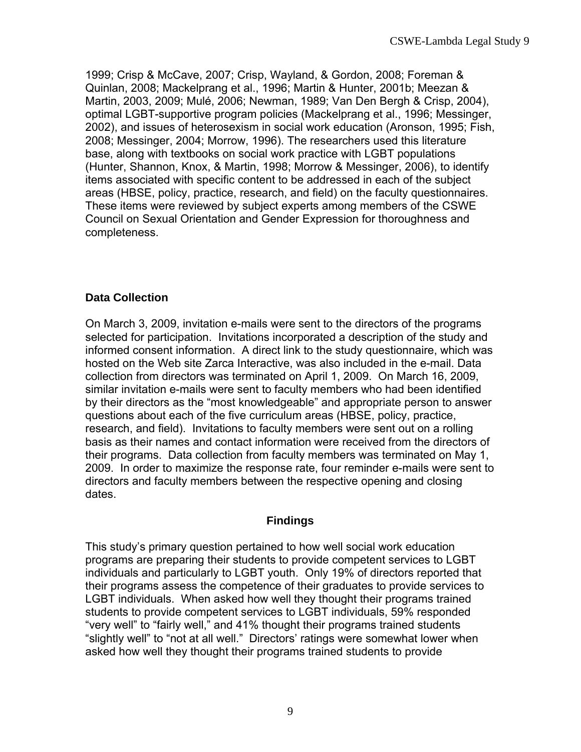1999; Crisp & McCave, 2007; Crisp, Wayland, & Gordon, 2008; Foreman & Quinlan, 2008; Mackelprang et al., 1996; Martin & Hunter, 2001b; Meezan & Martin, 2003, 2009; Mulé, 2006; Newman, 1989; Van Den Bergh & Crisp, 2004), optimal LGBT-supportive program policies (Mackelprang et al., 1996; Messinger, 2002), and issues of heterosexism in social work education (Aronson, 1995; Fish, 2008; Messinger, 2004; Morrow, 1996). The researchers used this literature base, along with textbooks on social work practice with LGBT populations (Hunter, Shannon, Knox, & Martin, 1998; Morrow & Messinger, 2006), to identify items associated with specific content to be addressed in each of the subject areas (HBSE, policy, practice, research, and field) on the faculty questionnaires. These items were reviewed by subject experts among members of the CSWE Council on Sexual Orientation and Gender Expression for thoroughness and completeness.

## **Data Collection**

On March 3, 2009, invitation e-mails were sent to the directors of the programs selected for participation. Invitations incorporated a description of the study and informed consent information. A direct link to the study questionnaire, which was hosted on the Web site Zarca Interactive, was also included in the e-mail. Data collection from directors was terminated on April 1, 2009. On March 16, 2009, similar invitation e-mails were sent to faculty members who had been identified by their directors as the "most knowledgeable" and appropriate person to answer questions about each of the five curriculum areas (HBSE, policy, practice, research, and field). Invitations to faculty members were sent out on a rolling basis as their names and contact information were received from the directors of their programs. Data collection from faculty members was terminated on May 1, 2009. In order to maximize the response rate, four reminder e-mails were sent to directors and faculty members between the respective opening and closing dates.

## **Findings**

This study's primary question pertained to how well social work education programs are preparing their students to provide competent services to LGBT individuals and particularly to LGBT youth. Only 19% of directors reported that their programs assess the competence of their graduates to provide services to LGBT individuals. When asked how well they thought their programs trained students to provide competent services to LGBT individuals, 59% responded "very well" to "fairly well," and 41% thought their programs trained students "slightly well" to "not at all well." Directors' ratings were somewhat lower when asked how well they thought their programs trained students to provide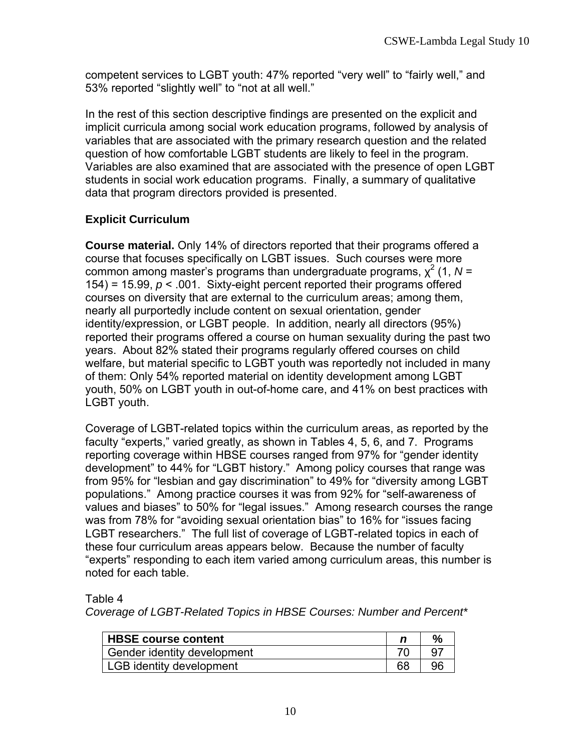competent services to LGBT youth: 47% reported "very well" to "fairly well," and 53% reported "slightly well" to "not at all well."

In the rest of this section descriptive findings are presented on the explicit and implicit curricula among social work education programs, followed by analysis of variables that are associated with the primary research question and the related question of how comfortable LGBT students are likely to feel in the program. Variables are also examined that are associated with the presence of open LGBT students in social work education programs. Finally, a summary of qualitative data that program directors provided is presented.

# **Explicit Curriculum**

**Course material.** Only 14% of directors reported that their programs offered a course that focuses specifically on LGBT issues. Such courses were more common among master's programs than undergraduate programs,  $\chi^2$  (1, N = 154) = 15.99, *p* < .001. Sixty-eight percent reported their programs offered courses on diversity that are external to the curriculum areas; among them, nearly all purportedly include content on sexual orientation, gender identity/expression, or LGBT people. In addition, nearly all directors (95%) reported their programs offered a course on human sexuality during the past two years. About 82% stated their programs regularly offered courses on child welfare, but material specific to LGBT youth was reportedly not included in many of them: Only 54% reported material on identity development among LGBT youth, 50% on LGBT youth in out-of-home care, and 41% on best practices with LGBT youth.

Coverage of LGBT-related topics within the curriculum areas, as reported by the faculty "experts," varied greatly, as shown in Tables 4, 5, 6, and 7. Programs reporting coverage within HBSE courses ranged from 97% for "gender identity development" to 44% for "LGBT history." Among policy courses that range was from 95% for "lesbian and gay discrimination" to 49% for "diversity among LGBT populations." Among practice courses it was from 92% for "self-awareness of values and biases" to 50% for "legal issues." Among research courses the range was from 78% for "avoiding sexual orientation bias" to 16% for "issues facing LGBT researchers." The full list of coverage of LGBT-related topics in each of these four curriculum areas appears below. Because the number of faculty "experts" responding to each item varied among curriculum areas, this number is noted for each table.

Table 4

*Coverage of LGBT-Related Topics in HBSE Courses: Number and Percent\**

| <b>HBSE course content</b>  | $\%$ |
|-----------------------------|------|
| Gender identity development |      |
| LGB identity development    | 96   |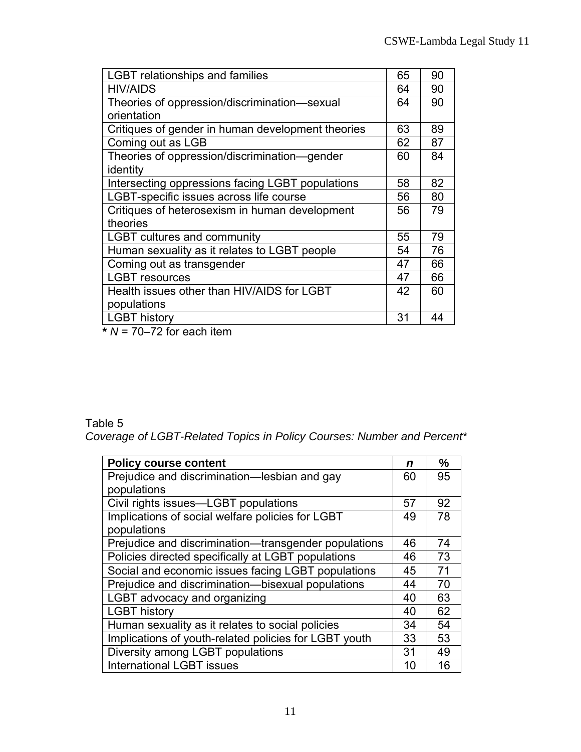| <b>LGBT</b> relationships and families            | 65 | 90 |
|---------------------------------------------------|----|----|
| <b>HIV/AIDS</b>                                   | 64 | 90 |
| Theories of oppression/discrimination-sexual      | 64 | 90 |
| orientation                                       |    |    |
| Critiques of gender in human development theories | 63 | 89 |
| Coming out as LGB                                 | 62 | 87 |
| Theories of oppression/discrimination-gender      | 60 | 84 |
| identity                                          |    |    |
| Intersecting oppressions facing LGBT populations  | 58 | 82 |
| LGBT-specific issues across life course           | 56 | 80 |
| Critiques of heterosexism in human development    | 56 | 79 |
| theories                                          |    |    |
| <b>LGBT cultures and community</b>                | 55 | 79 |
| Human sexuality as it relates to LGBT people      | 54 | 76 |
| Coming out as transgender                         | 47 | 66 |
| <b>LGBT</b> resources                             | 47 | 66 |
| Health issues other than HIV/AIDS for LGBT        | 42 | 60 |
| populations                                       |    |    |
| <b>LGBT history</b>                               | 31 | 44 |

**\*** *N* = 70–72 for each item

# Table 5

*Coverage of LGBT-Related Topics in Policy Courses: Number and Percent\** 

| <b>Policy course content</b>                          | n  | $\frac{9}{6}$ |
|-------------------------------------------------------|----|---------------|
| Prejudice and discrimination-lesbian and gay          | 60 | 95            |
| populations                                           |    |               |
| Civil rights issues-LGBT populations                  | 57 | 92            |
| Implications of social welfare policies for LGBT      | 49 | 78            |
| populations                                           |    |               |
| Prejudice and discrimination—transgender populations  | 46 | 74            |
| Policies directed specifically at LGBT populations    | 46 | 73            |
| Social and economic issues facing LGBT populations    | 45 | 71            |
| Prejudice and discrimination-bisexual populations     | 44 | 70            |
| LGBT advocacy and organizing                          | 40 | 63            |
| <b>LGBT history</b>                                   | 40 | 62            |
| Human sexuality as it relates to social policies      | 34 | 54            |
| Implications of youth-related policies for LGBT youth | 33 | 53            |
| Diversity among LGBT populations                      | 31 | 49            |
| <b>International LGBT issues</b>                      | 10 | 16            |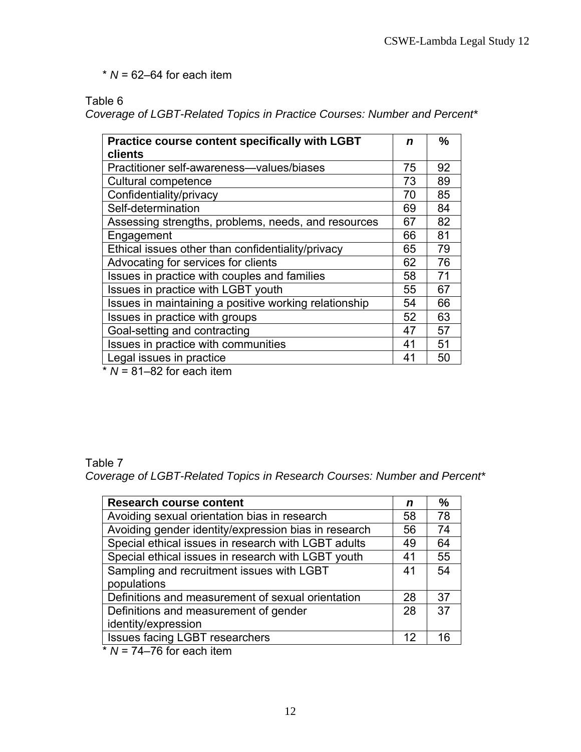$*$   $N = 62-64$  for each item

Table 6

*Coverage of LGBT-Related Topics in Practice Courses: Number and Percent\** 

| <b>Practice course content specifically with LGBT</b> | n  | $\frac{0}{0}$ |
|-------------------------------------------------------|----|---------------|
| clients                                               |    |               |
| Practitioner self-awareness-values/biases             | 75 | 92            |
| Cultural competence                                   | 73 | 89            |
| Confidentiality/privacy                               | 70 | 85            |
| Self-determination                                    | 69 | 84            |
| Assessing strengths, problems, needs, and resources   | 67 | 82            |
| Engagement                                            | 66 | 81            |
| Ethical issues other than confidentiality/privacy     | 65 | 79            |
| Advocating for services for clients                   | 62 | 76            |
| Issues in practice with couples and families          | 58 | 71            |
| Issues in practice with LGBT youth                    | 55 | 67            |
| Issues in maintaining a positive working relationship | 54 | 66            |
| Issues in practice with groups                        | 52 | 63            |
| Goal-setting and contracting                          | 47 | 57            |
| Issues in practice with communities                   | 41 | 51            |
| Legal issues in practice                              | 41 | 50            |
| $*$ $N = 04$ $00$ for analy itam                      |    |               |

 $N = 81-82$  for each item

### Table 7 *Coverage of LGBT-Related Topics in Research Courses: Number and Percent\**

| <b>Research course content</b>                       | n  | $\frac{0}{0}$ |
|------------------------------------------------------|----|---------------|
| Avoiding sexual orientation bias in research         | 58 | 78            |
| Avoiding gender identity/expression bias in research | 56 | 74            |
| Special ethical issues in research with LGBT adults  | 49 | 64            |
| Special ethical issues in research with LGBT youth   | 41 | 55            |
| Sampling and recruitment issues with LGBT            | 41 | 54            |
| populations                                          |    |               |
| Definitions and measurement of sexual orientation    | 28 | 37            |
| Definitions and measurement of gender                | 28 | 37            |
| identity/expression                                  |    |               |
| <b>Issues facing LGBT researchers</b>                | 12 | 16            |
| $*$ $N-74$ $76$ for angh itam                        |    |               |

 $N = 74-76$  for each item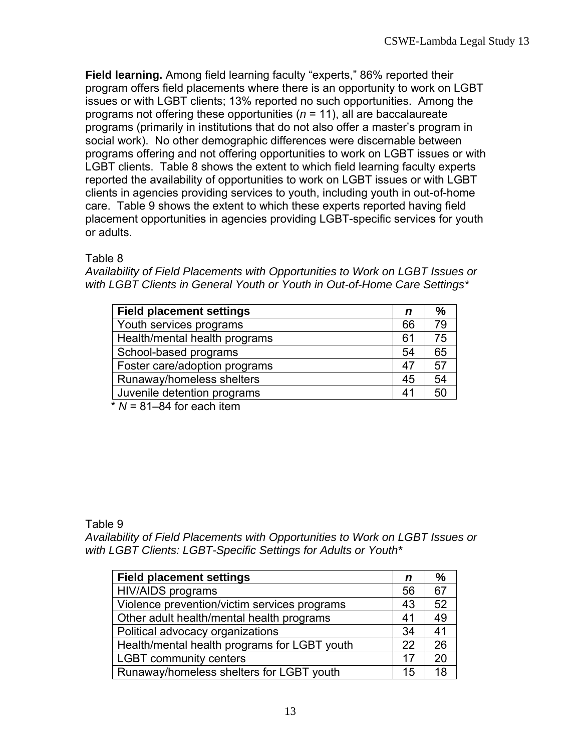**Field learning.** Among field learning faculty "experts," 86% reported their program offers field placements where there is an opportunity to work on LGBT issues or with LGBT clients; 13% reported no such opportunities. Among the programs not offering these opportunities (*n* = 11), all are baccalaureate programs (primarily in institutions that do not also offer a master's program in social work). No other demographic differences were discernable between programs offering and not offering opportunities to work on LGBT issues or with LGBT clients. Table 8 shows the extent to which field learning faculty experts reported the availability of opportunities to work on LGBT issues or with LGBT clients in agencies providing services to youth, including youth in out-of-home care. Table 9 shows the extent to which these experts reported having field placement opportunities in agencies providing LGBT-specific services for youth or adults.

Table 8

*Availability of Field Placements with Opportunities to Work on LGBT Issues or with LGBT Clients in General Youth or Youth in Out-of-Home Care Settings\** 

| <b>Field placement settings</b> | n  | %  |
|---------------------------------|----|----|
| Youth services programs         | 66 | 79 |
| Health/mental health programs   | 61 | 75 |
| School-based programs           | 54 | 65 |
| Foster care/adoption programs   | 47 | 57 |
| Runaway/homeless shelters       | 45 | 54 |
| Juvenile detention programs     | 41 | 50 |

\* *N* = 81–84 for each item

Table 9

*Availability of Field Placements with Opportunities to Work on LGBT Issues or with LGBT Clients: LGBT-Specific Settings for Adults or Youth\** 

| <b>Field placement settings</b>              | n  | $\frac{0}{0}$ |
|----------------------------------------------|----|---------------|
| <b>HIV/AIDS</b> programs                     | 56 | 67            |
| Violence prevention/victim services programs | 43 | 52            |
| Other adult health/mental health programs    | 41 | 49            |
| Political advocacy organizations             | 34 | 41            |
| Health/mental health programs for LGBT youth | 22 | 26            |
| <b>LGBT community centers</b>                | 17 | 20            |
| Runaway/homeless shelters for LGBT youth     | 15 | 18            |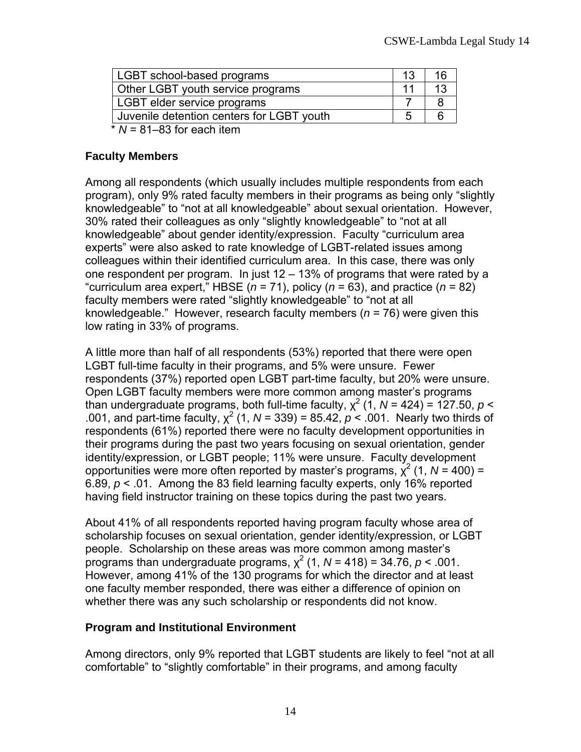| LGBT school-based programs                                                                                                                                                                                                                                                                                                                                                  | 16 |
|-----------------------------------------------------------------------------------------------------------------------------------------------------------------------------------------------------------------------------------------------------------------------------------------------------------------------------------------------------------------------------|----|
| Other LGBT youth service programs                                                                                                                                                                                                                                                                                                                                           |    |
| LGBT elder service programs                                                                                                                                                                                                                                                                                                                                                 |    |
| Juvenile detention centers for LGBT youth                                                                                                                                                                                                                                                                                                                                   |    |
| $*$ $\overline{M}$ $\overline{M}$ $\overline{M}$ $\overline{M}$ $\overline{M}$ $\overline{M}$ $\overline{M}$ $\overline{M}$ $\overline{M}$ $\overline{M}$ $\overline{M}$ $\overline{M}$ $\overline{M}$ $\overline{M}$ $\overline{M}$ $\overline{M}$ $\overline{M}$ $\overline{M}$ $\overline{M}$ $\overline{M}$ $\overline{M}$ $\overline{M}$ $\overline{M}$ $\overline{M}$ |    |

 $N = 81-83$  for each item

### **Faculty Members**

Among all respondents (which usually includes multiple respondents from each program), only 9% rated faculty members in their programs as being only "slightly knowledgeable" to "not at all knowledgeable" about sexual orientation. However, 30% rated their colleagues as only "slightly knowledgeable" to "not at all knowledgeable" about gender identity/expression. Faculty "curriculum area experts" were also asked to rate knowledge of LGBT-related issues among colleagues within their identified curriculum area. In this case, there was only one respondent per program. In just  $12 - 13%$  of programs that were rated by a "curriculum area expert," HBSE ( $n = 71$ ), policy ( $n = 63$ ), and practice ( $n = 82$ ) faculty members were rated "slightly knowledgeable" to "not at all knowledgeable." However, research faculty members (*n* = 76) were given this low rating in 33% of programs.

A little more than half of all respondents (53%) reported that there were open LGBT full-time faculty in their programs, and 5% were unsure. Fewer respondents (37%) reported open LGBT part-time faculty, but 20% were unsure. Open LGBT faculty members were more common among master's programs than undergraduate programs, both full-time faculty,  $\chi^2$  (1, N = 424) = 127.50, p < .001, and part-time faculty,  $\chi^2$  (1, N = 339) = 85.42,  $\rho < 0.001$ . Nearly two thirds of respondents (61%) reported there were no faculty development opportunities in their programs during the past two years focusing on sexual orientation, gender identity/expression, or LGBT people; 11% were unsure. Faculty development opportunities were more often reported by master's programs,  $\chi^2$  (1, N = 400) = 6.89, *p* < .01. Among the 83 field learning faculty experts, only 16% reported having field instructor training on these topics during the past two years.

About 41% of all respondents reported having program faculty whose area of scholarship focuses on sexual orientation, gender identity/expression, or LGBT people. Scholarship on these areas was more common among master's programs than undergraduate programs,  $\chi^2$  (1, N = 418) = 34.76,  $p$  < .001. However, among 41% of the 130 programs for which the director and at least one faculty member responded, there was either a difference of opinion on whether there was any such scholarship or respondents did not know.

#### **Program and Institutional Environment**

Among directors, only 9% reported that LGBT students are likely to feel "not at all comfortable" to "slightly comfortable" in their programs, and among faculty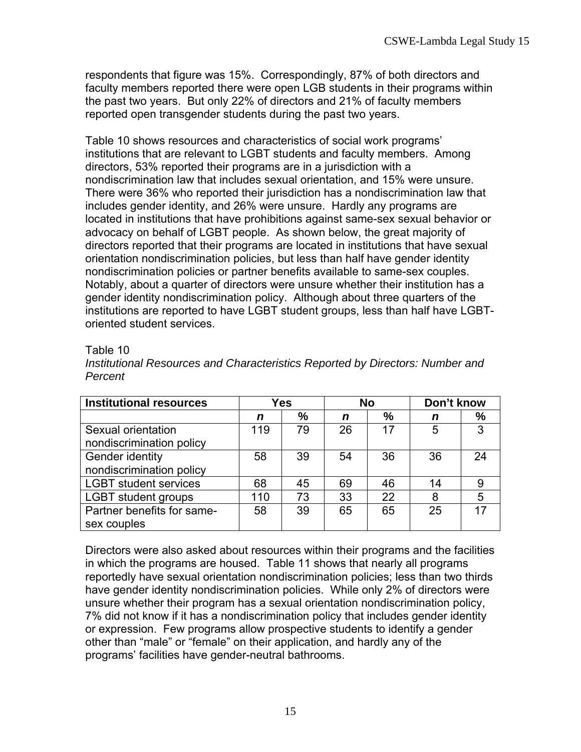respondents that figure was 15%. Correspondingly, 87% of both directors and faculty members reported there were open LGB students in their programs within the past two years. But only 22% of directors and 21% of faculty members reported open transgender students during the past two years.

Table 10 shows resources and characteristics of social work programs' institutions that are relevant to LGBT students and faculty members. Among directors, 53% reported their programs are in a jurisdiction with a nondiscrimination law that includes sexual orientation, and 15% were unsure. There were 36% who reported their jurisdiction has a nondiscrimination law that includes gender identity, and 26% were unsure. Hardly any programs are located in institutions that have prohibitions against same-sex sexual behavior or advocacy on behalf of LGBT people. As shown below, the great majority of directors reported that their programs are located in institutions that have sexual orientation nondiscrimination policies, but less than half have gender identity nondiscrimination policies or partner benefits available to same-sex couples. Notably, about a quarter of directors were unsure whether their institution has a gender identity nondiscrimination policy. Although about three quarters of the institutions are reported to have LGBT student groups, less than half have LGBToriented student services.

### Table 10

| Institutional Resources and Characteristics Reported by Directors: Number and |  |
|-------------------------------------------------------------------------------|--|
| Percent                                                                       |  |

| <b>Institutional resources</b> | Yes |    | <b>No</b> |    | Don't know |      |
|--------------------------------|-----|----|-----------|----|------------|------|
|                                | n   | %  | n         | %  | n          | $\%$ |
| Sexual orientation             | 119 | 79 | 26        | 17 | 5          | 3    |
| nondiscrimination policy       |     |    |           |    |            |      |
| Gender identity                | 58  | 39 | 54        | 36 | 36         | 24   |
| nondiscrimination policy       |     |    |           |    |            |      |
| <b>LGBT student services</b>   | 68  | 45 | 69        | 46 | 14         | 9    |
| <b>LGBT</b> student groups     | 110 | 73 | 33        | 22 | 8          | 5    |
| Partner benefits for same-     | 58  | 39 | 65        | 65 | 25         |      |
| sex couples                    |     |    |           |    |            |      |

Directors were also asked about resources within their programs and the facilities in which the programs are housed. Table 11 shows that nearly all programs reportedly have sexual orientation nondiscrimination policies; less than two thirds have gender identity nondiscrimination policies. While only 2% of directors were unsure whether their program has a sexual orientation nondiscrimination policy, 7% did not know if it has a nondiscrimination policy that includes gender identity or expression. Few programs allow prospective students to identify a gender other than "male" or "female" on their application, and hardly any of the programs' facilities have gender-neutral bathrooms.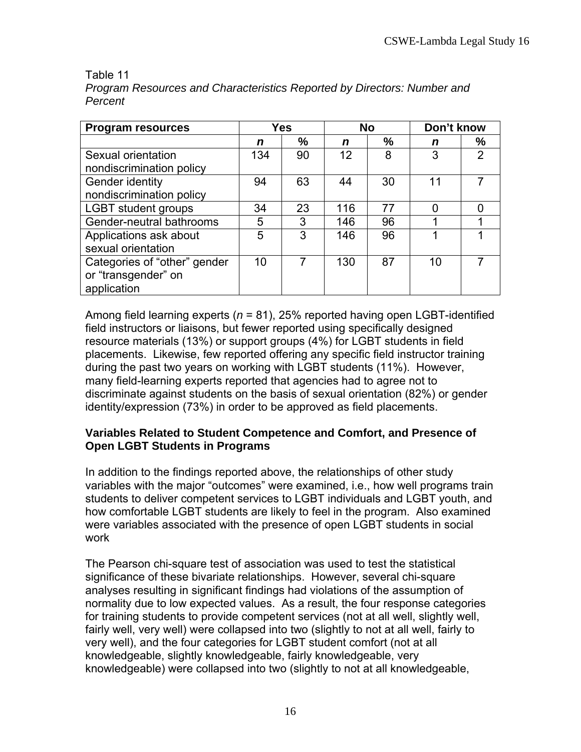#### Table 11

application

| 1 GI UGI IL                  |     |    |           |    |            |                |
|------------------------------|-----|----|-----------|----|------------|----------------|
| <b>Program resources</b>     | Yes |    | <b>No</b> |    | Don't know |                |
|                              | n   | %  | n         | %  | n          | %              |
| Sexual orientation           | 134 | 90 | 12        | 8  | 3          | $\overline{2}$ |
| nondiscrimination policy     |     |    |           |    |            |                |
| Gender identity              | 94  | 63 | 44        | 30 | 11         | 7              |
| nondiscrimination policy     |     |    |           |    |            |                |
| <b>LGBT student groups</b>   | 34  | 23 | 116       | 77 | 0          | ი              |
| Gender-neutral bathrooms     | 5   | 3  | 146       | 96 |            |                |
| Applications ask about       | 5   | 3  | 146       | 96 |            |                |
| sexual orientation           |     |    |           |    |            |                |
| Categories of "other" gender | 10  |    | 130       | 87 | 10         |                |
| or "transgender" on          |     |    |           |    |            |                |

*Program Resources and Characteristics Reported by Directors: Number and Percent* 

Among field learning experts (*n* = 81), 25% reported having open LGBT-identified field instructors or liaisons, but fewer reported using specifically designed resource materials (13%) or support groups (4%) for LGBT students in field placements. Likewise, few reported offering any specific field instructor training during the past two years on working with LGBT students (11%). However, many field-learning experts reported that agencies had to agree not to discriminate against students on the basis of sexual orientation (82%) or gender identity/expression (73%) in order to be approved as field placements.

### **Variables Related to Student Competence and Comfort, and Presence of Open LGBT Students in Programs**

In addition to the findings reported above, the relationships of other study variables with the major "outcomes" were examined, i.e., how well programs train students to deliver competent services to LGBT individuals and LGBT youth, and how comfortable LGBT students are likely to feel in the program. Also examined were variables associated with the presence of open LGBT students in social work

The Pearson chi-square test of association was used to test the statistical significance of these bivariate relationships. However, several chi-square analyses resulting in significant findings had violations of the assumption of normality due to low expected values. As a result, the four response categories for training students to provide competent services (not at all well, slightly well, fairly well, very well) were collapsed into two (slightly to not at all well, fairly to very well), and the four categories for LGBT student comfort (not at all knowledgeable, slightly knowledgeable, fairly knowledgeable, very knowledgeable) were collapsed into two (slightly to not at all knowledgeable,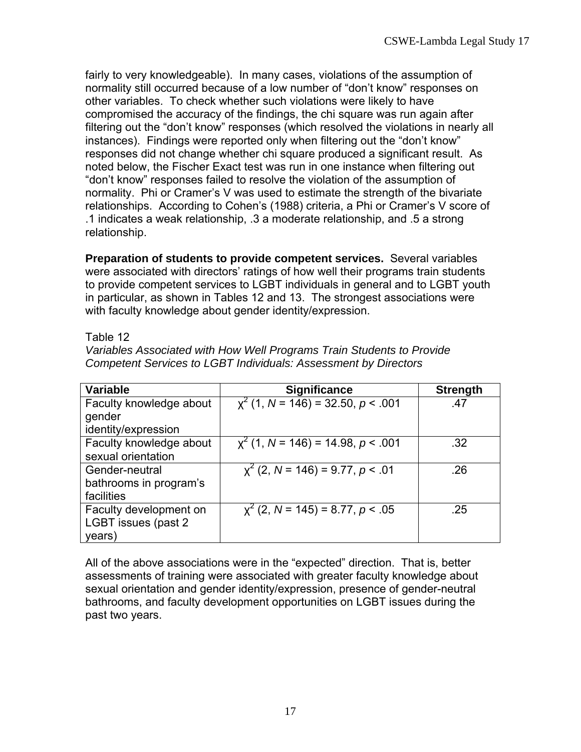fairly to very knowledgeable). In many cases, violations of the assumption of normality still occurred because of a low number of "don't know" responses on other variables. To check whether such violations were likely to have compromised the accuracy of the findings, the chi square was run again after filtering out the "don't know" responses (which resolved the violations in nearly all instances). Findings were reported only when filtering out the "don't know" responses did not change whether chi square produced a significant result. As noted below, the Fischer Exact test was run in one instance when filtering out "don't know" responses failed to resolve the violation of the assumption of normality. Phi or Cramer's V was used to estimate the strength of the bivariate relationships. According to Cohen's (1988) criteria, a Phi or Cramer's V score of .1 indicates a weak relationship, .3 a moderate relationship, and .5 a strong relationship.

**Preparation of students to provide competent services.** Several variables were associated with directors' ratings of how well their programs train students to provide competent services to LGBT individuals in general and to LGBT youth in particular, as shown in Tables 12 and 13. The strongest associations were with faculty knowledge about gender identity/expression.

#### Table 12

*Variables Associated with How Well Programs Train Students to Provide Competent Services to LGBT Individuals: Assessment by Directors* 

| <b>Variable</b>         | <b>Significance</b>                    | <b>Strength</b> |
|-------------------------|----------------------------------------|-----------------|
| Faculty knowledge about | $x^{2}$ (1, N = 146) = 32.50, p < .001 | .47             |
| gender                  |                                        |                 |
| identity/expression     |                                        |                 |
| Faculty knowledge about | $x^{2}$ (1, N = 146) = 14.98, p < .001 | .32             |
| sexual orientation      |                                        |                 |
| Gender-neutral          | $x^{2}$ (2, N = 146) = 9.77, p < .01   | .26             |
| bathrooms in program's  |                                        |                 |
| facilities              |                                        |                 |
| Faculty development on  | $x^{2}$ (2, N = 145) = 8.77, p < .05   | .25             |
| LGBT issues (past 2)    |                                        |                 |
| years)                  |                                        |                 |

All of the above associations were in the "expected" direction. That is, better assessments of training were associated with greater faculty knowledge about sexual orientation and gender identity/expression, presence of gender-neutral bathrooms, and faculty development opportunities on LGBT issues during the past two years.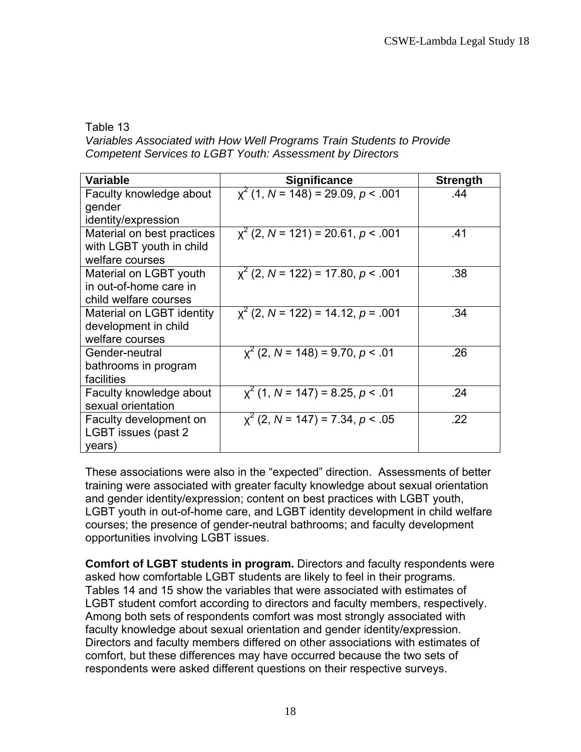Table 13

*Variables Associated with How Well Programs Train Students to Provide Competent Services to LGBT Youth: Assessment by Directors* 

| <b>Variable</b>            | <b>Significance</b>                     | <b>Strength</b> |
|----------------------------|-----------------------------------------|-----------------|
| Faculty knowledge about    | $x^{2}$ (1, N = 148) = 29.09, p < .001  | .44             |
| gender                     |                                         |                 |
| identity/expression        |                                         |                 |
| Material on best practices | $x^{2}$ (2, N = 121) = 20.61, p < .001  | .41             |
| with LGBT youth in child   |                                         |                 |
| welfare courses            |                                         |                 |
| Material on LGBT youth     | $\chi^2$ (2, N = 122) = 17.80, p < .001 | .38             |
| in out-of-home care in     |                                         |                 |
| child welfare courses      |                                         |                 |
| Material on LGBT identity  | $\chi^2$ (2, N = 122) = 14.12, p = .001 | .34             |
| development in child       |                                         |                 |
| welfare courses            |                                         |                 |
| Gender-neutral             | $x^{2}$ (2, N = 148) = 9.70, p < .01    | .26             |
| bathrooms in program       |                                         |                 |
| facilities                 |                                         |                 |
| Faculty knowledge about    | $x^{2}$ (1, N = 147) = 8.25, p < .01    | .24             |
| sexual orientation         |                                         |                 |
| Faculty development on     | $x^{2}$ (2, N = 147) = 7.34, p < .05    | .22             |
| LGBT issues (past 2)       |                                         |                 |
| years)                     |                                         |                 |

These associations were also in the "expected" direction. Assessments of better training were associated with greater faculty knowledge about sexual orientation and gender identity/expression; content on best practices with LGBT youth, LGBT youth in out-of-home care, and LGBT identity development in child welfare courses; the presence of gender-neutral bathrooms; and faculty development opportunities involving LGBT issues.

**Comfort of LGBT students in program.** Directors and faculty respondents were asked how comfortable LGBT students are likely to feel in their programs. Tables 14 and 15 show the variables that were associated with estimates of LGBT student comfort according to directors and faculty members, respectively. Among both sets of respondents comfort was most strongly associated with faculty knowledge about sexual orientation and gender identity/expression. Directors and faculty members differed on other associations with estimates of comfort, but these differences may have occurred because the two sets of respondents were asked different questions on their respective surveys.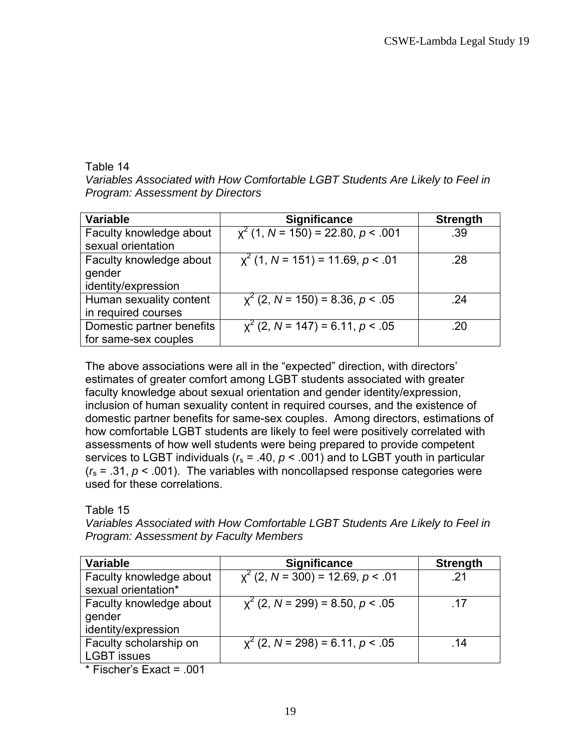### Table 14

*Variables Associated with How Comfortable LGBT Students Are Likely to Feel in Program: Assessment by Directors*

| <b>Variable</b>           | <b>Significance</b>                    | <b>Strength</b> |
|---------------------------|----------------------------------------|-----------------|
| Faculty knowledge about   | $x^{2}$ (1, N = 150) = 22.80, p < .001 | .39             |
| sexual orientation        |                                        |                 |
| Faculty knowledge about   | $x^{2}$ (1, N = 151) = 11.69, p < .01  | .28             |
| gender                    |                                        |                 |
| identity/expression       |                                        |                 |
| Human sexuality content   | $x^{2}$ (2, N = 150) = 8.36, p < .05   | .24             |
| in required courses       |                                        |                 |
| Domestic partner benefits | $x^{2}$ (2, N = 147) = 6.11, p < .05   | .20             |
| for same-sex couples      |                                        |                 |

The above associations were all in the "expected" direction, with directors' estimates of greater comfort among LGBT students associated with greater faculty knowledge about sexual orientation and gender identity/expression, inclusion of human sexuality content in required courses, and the existence of domestic partner benefits for same-sex couples. Among directors, estimations of how comfortable LGBT students are likely to feel were positively correlated with assessments of how well students were being prepared to provide competent services to LGBT individuals ( $r_s$  = .40,  $p$  < .001) and to LGBT youth in particular  $(r<sub>s</sub> = .31, p < .001)$ . The variables with noncollapsed response categories were used for these correlations.

## Table 15

*Variables Associated with How Comfortable LGBT Students Are Likely to Feel in Program: Assessment by Faculty Members* 

| Variable                                                 | <b>Significance</b>                  | <b>Strength</b> |
|----------------------------------------------------------|--------------------------------------|-----------------|
| Faculty knowledge about<br>sexual orientation*           | $x^2$ (2, N = 300) = 12.69, p < .01  | -21             |
| Faculty knowledge about<br>gender<br>identity/expression | $x^{2}$ (2, N = 299) = 8.50, p < .05 | -17             |
| Faculty scholarship on<br><b>LGBT</b> issues             | $x^2$ (2, N = 298) = 6.11, p < .05   | .14             |

\* Fischer's Exact = .001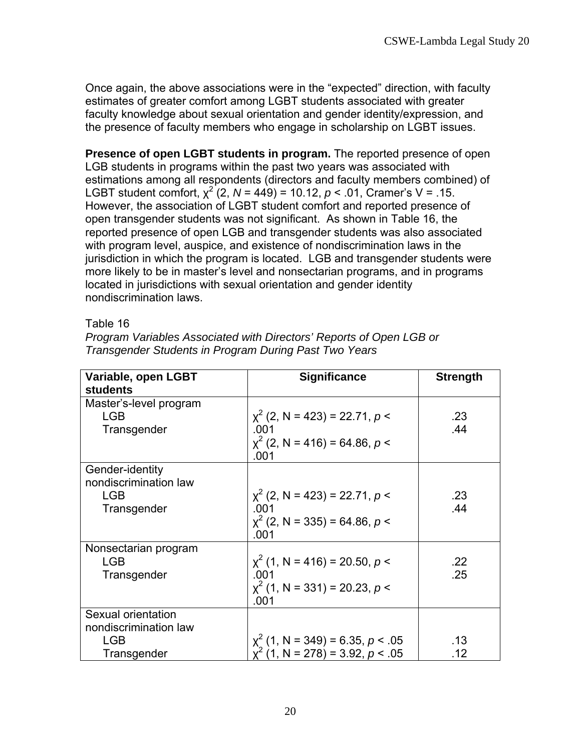Once again, the above associations were in the "expected" direction, with faculty estimates of greater comfort among LGBT students associated with greater faculty knowledge about sexual orientation and gender identity/expression, and the presence of faculty members who engage in scholarship on LGBT issues.

**Presence of open LGBT students in program.** The reported presence of open LGB students in programs within the past two years was associated with estimations among all respondents (directors and faculty members combined) of LGBT student comfort,  $\chi^2$  (2,  $N = 449$ ) = 10.12,  $p < .01$ , Cramer's V = .15. However, the association of LGBT student comfort and reported presence of open transgender students was not significant. As shown in Table 16, the reported presence of open LGB and transgender students was also associated with program level, auspice, and existence of nondiscrimination laws in the jurisdiction in which the program is located. LGB and transgender students were more likely to be in master's level and nonsectarian programs, and in programs located in jurisdictions with sexual orientation and gender identity nondiscrimination laws.

#### Table 16

| Variable, open LGBT<br><b>students</b> | <b>Significance</b>                                                           | <b>Strength</b> |
|----------------------------------------|-------------------------------------------------------------------------------|-----------------|
| Master's-level program                 |                                                                               |                 |
| <b>LGB</b>                             | $\chi^2$ (2, N = 423) = 22.71, p <                                            | .23             |
| Transgender                            | .001                                                                          | .44             |
|                                        | $x^{2}$ (2, N = 416) = 64.86, p <<br>.001                                     |                 |
| Gender-identity                        |                                                                               |                 |
| nondiscrimination law                  |                                                                               |                 |
| <b>LGB</b>                             | $\chi^2$ (2, N = 423) = 22.71, p <                                            | .23             |
| Transgender                            | .001                                                                          | .44             |
|                                        | $x^{2}$ (2, N = 335) = 64.86, p <<br>.001                                     |                 |
| Nonsectarian program                   |                                                                               |                 |
| <b>LGB</b>                             | $x^{2}$ (1, N = 416) = 20.50, p <                                             | .22             |
| Transgender                            | .001                                                                          | .25             |
|                                        | $x^{2}$ (1, N = 331) = 20.23, p <                                             |                 |
|                                        | .001                                                                          |                 |
| Sexual orientation                     |                                                                               |                 |
| nondiscrimination law                  |                                                                               |                 |
| <b>LGB</b>                             | $x^{2}$ (1, N = 349) = 6.35, p < .05<br>$\chi^2$ (1, N = 278) = 3.92, p < .05 | .13             |
| Transgender                            |                                                                               | .12             |

*Program Variables Associated with Directors' Reports of Open LGB or Transgender Students in Program During Past Two Years*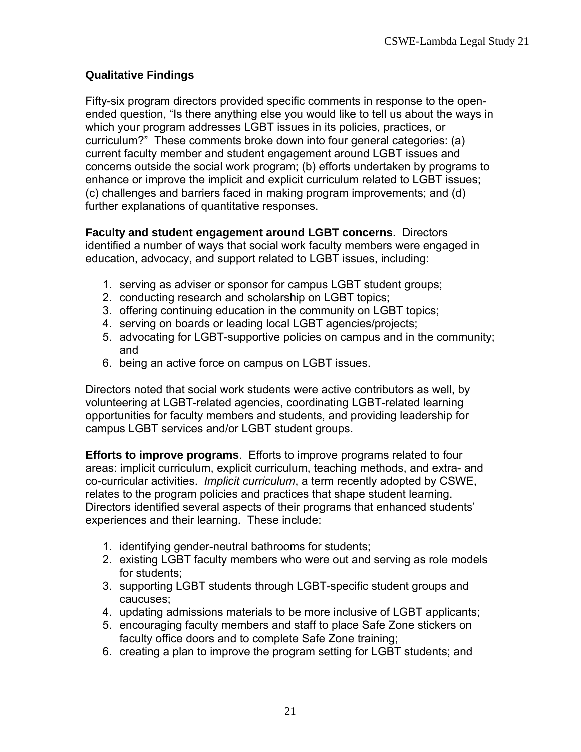## **Qualitative Findings**

Fifty-six program directors provided specific comments in response to the openended question, "Is there anything else you would like to tell us about the ways in which your program addresses LGBT issues in its policies, practices, or curriculum?" These comments broke down into four general categories: (a) current faculty member and student engagement around LGBT issues and concerns outside the social work program; (b) efforts undertaken by programs to enhance or improve the implicit and explicit curriculum related to LGBT issues; (c) challenges and barriers faced in making program improvements; and (d) further explanations of quantitative responses.

**Faculty and student engagement around LGBT concerns**. Directors identified a number of ways that social work faculty members were engaged in education, advocacy, and support related to LGBT issues, including:

- 1. serving as adviser or sponsor for campus LGBT student groups;
- 2. conducting research and scholarship on LGBT topics;
- 3. offering continuing education in the community on LGBT topics;
- 4. serving on boards or leading local LGBT agencies/projects;
- 5. advocating for LGBT-supportive policies on campus and in the community; and
- 6. being an active force on campus on LGBT issues.

Directors noted that social work students were active contributors as well, by volunteering at LGBT-related agencies, coordinating LGBT-related learning opportunities for faculty members and students, and providing leadership for campus LGBT services and/or LGBT student groups.

**Efforts to improve programs**. Efforts to improve programs related to four areas: implicit curriculum, explicit curriculum, teaching methods, and extra- and co-curricular activities. *Implicit curriculum*, a term recently adopted by CSWE, relates to the program policies and practices that shape student learning. Directors identified several aspects of their programs that enhanced students' experiences and their learning. These include:

- 1. identifying gender-neutral bathrooms for students;
- 2. existing LGBT faculty members who were out and serving as role models for students;
- 3. supporting LGBT students through LGBT-specific student groups and caucuses;
- 4. updating admissions materials to be more inclusive of LGBT applicants;
- 5. encouraging faculty members and staff to place Safe Zone stickers on faculty office doors and to complete Safe Zone training;
- 6. creating a plan to improve the program setting for LGBT students; and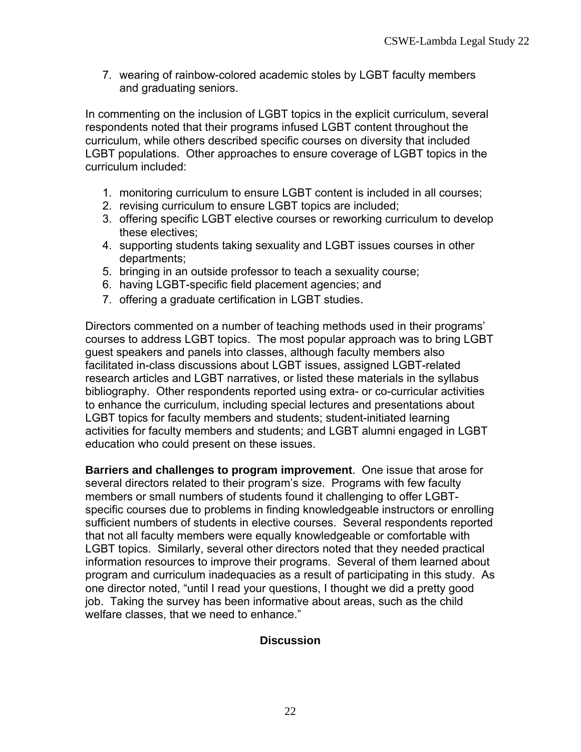7. wearing of rainbow-colored academic stoles by LGBT faculty members and graduating seniors.

In commenting on the inclusion of LGBT topics in the explicit curriculum, several respondents noted that their programs infused LGBT content throughout the curriculum, while others described specific courses on diversity that included LGBT populations. Other approaches to ensure coverage of LGBT topics in the curriculum included:

- 1. monitoring curriculum to ensure LGBT content is included in all courses;
- 2. revising curriculum to ensure LGBT topics are included;
- 3. offering specific LGBT elective courses or reworking curriculum to develop these electives;
- 4. supporting students taking sexuality and LGBT issues courses in other departments;
- 5. bringing in an outside professor to teach a sexuality course;
- 6. having LGBT-specific field placement agencies; and
- 7. offering a graduate certification in LGBT studies.

Directors commented on a number of teaching methods used in their programs' courses to address LGBT topics. The most popular approach was to bring LGBT guest speakers and panels into classes, although faculty members also facilitated in-class discussions about LGBT issues, assigned LGBT-related research articles and LGBT narratives, or listed these materials in the syllabus bibliography. Other respondents reported using extra- or co-curricular activities to enhance the curriculum, including special lectures and presentations about LGBT topics for faculty members and students; student-initiated learning activities for faculty members and students; and LGBT alumni engaged in LGBT education who could present on these issues.

**Barriers and challenges to program improvement**. One issue that arose for several directors related to their program's size. Programs with few faculty members or small numbers of students found it challenging to offer LGBTspecific courses due to problems in finding knowledgeable instructors or enrolling sufficient numbers of students in elective courses. Several respondents reported that not all faculty members were equally knowledgeable or comfortable with LGBT topics. Similarly, several other directors noted that they needed practical information resources to improve their programs. Several of them learned about program and curriculum inadequacies as a result of participating in this study. As one director noted, "until I read your questions, I thought we did a pretty good job. Taking the survey has been informative about areas, such as the child welfare classes, that we need to enhance."

## **Discussion**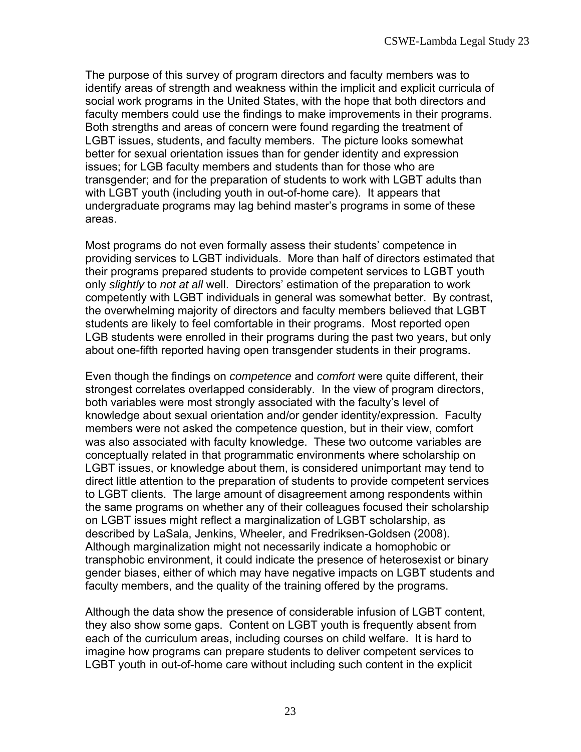The purpose of this survey of program directors and faculty members was to identify areas of strength and weakness within the implicit and explicit curricula of social work programs in the United States, with the hope that both directors and faculty members could use the findings to make improvements in their programs. Both strengths and areas of concern were found regarding the treatment of LGBT issues, students, and faculty members. The picture looks somewhat better for sexual orientation issues than for gender identity and expression issues; for LGB faculty members and students than for those who are transgender; and for the preparation of students to work with LGBT adults than with LGBT youth (including youth in out-of-home care). It appears that undergraduate programs may lag behind master's programs in some of these areas.

Most programs do not even formally assess their students' competence in providing services to LGBT individuals. More than half of directors estimated that their programs prepared students to provide competent services to LGBT youth only *slightly* to *not at all* well. Directors' estimation of the preparation to work competently with LGBT individuals in general was somewhat better. By contrast, the overwhelming majority of directors and faculty members believed that LGBT students are likely to feel comfortable in their programs. Most reported open LGB students were enrolled in their programs during the past two years, but only about one-fifth reported having open transgender students in their programs.

Even though the findings on *competence* and *comfort* were quite different, their strongest correlates overlapped considerably. In the view of program directors, both variables were most strongly associated with the faculty's level of knowledge about sexual orientation and/or gender identity/expression. Faculty members were not asked the competence question, but in their view, comfort was also associated with faculty knowledge. These two outcome variables are conceptually related in that programmatic environments where scholarship on LGBT issues, or knowledge about them, is considered unimportant may tend to direct little attention to the preparation of students to provide competent services to LGBT clients. The large amount of disagreement among respondents within the same programs on whether any of their colleagues focused their scholarship on LGBT issues might reflect a marginalization of LGBT scholarship, as described by LaSala, Jenkins, Wheeler, and Fredriksen-Goldsen (2008). Although marginalization might not necessarily indicate a homophobic or transphobic environment, it could indicate the presence of heterosexist or binary gender biases, either of which may have negative impacts on LGBT students and faculty members, and the quality of the training offered by the programs.

Although the data show the presence of considerable infusion of LGBT content, they also show some gaps. Content on LGBT youth is frequently absent from each of the curriculum areas, including courses on child welfare. It is hard to imagine how programs can prepare students to deliver competent services to LGBT youth in out-of-home care without including such content in the explicit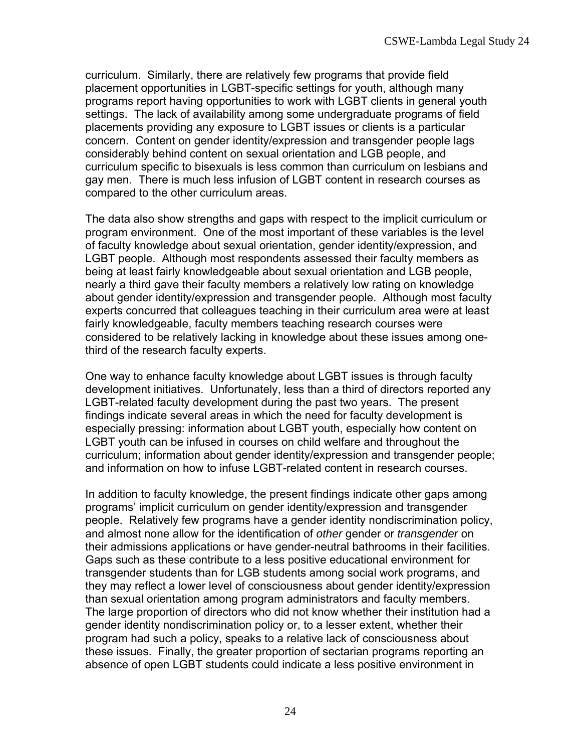curriculum. Similarly, there are relatively few programs that provide field placement opportunities in LGBT-specific settings for youth, although many programs report having opportunities to work with LGBT clients in general youth settings. The lack of availability among some undergraduate programs of field placements providing any exposure to LGBT issues or clients is a particular concern. Content on gender identity/expression and transgender people lags considerably behind content on sexual orientation and LGB people, and curriculum specific to bisexuals is less common than curriculum on lesbians and gay men. There is much less infusion of LGBT content in research courses as compared to the other curriculum areas.

The data also show strengths and gaps with respect to the implicit curriculum or program environment. One of the most important of these variables is the level of faculty knowledge about sexual orientation, gender identity/expression, and LGBT people. Although most respondents assessed their faculty members as being at least fairly knowledgeable about sexual orientation and LGB people, nearly a third gave their faculty members a relatively low rating on knowledge about gender identity/expression and transgender people. Although most faculty experts concurred that colleagues teaching in their curriculum area were at least fairly knowledgeable, faculty members teaching research courses were considered to be relatively lacking in knowledge about these issues among onethird of the research faculty experts.

One way to enhance faculty knowledge about LGBT issues is through faculty development initiatives. Unfortunately, less than a third of directors reported any LGBT-related faculty development during the past two years. The present findings indicate several areas in which the need for faculty development is especially pressing: information about LGBT youth, especially how content on LGBT youth can be infused in courses on child welfare and throughout the curriculum; information about gender identity/expression and transgender people; and information on how to infuse LGBT-related content in research courses.

In addition to faculty knowledge, the present findings indicate other gaps among programs' implicit curriculum on gender identity/expression and transgender people. Relatively few programs have a gender identity nondiscrimination policy, and almost none allow for the identification of *other* gender or *transgender* on their admissions applications or have gender-neutral bathrooms in their facilities. Gaps such as these contribute to a less positive educational environment for transgender students than for LGB students among social work programs, and they may reflect a lower level of consciousness about gender identity/expression than sexual orientation among program administrators and faculty members. The large proportion of directors who did not know whether their institution had a gender identity nondiscrimination policy or, to a lesser extent, whether their program had such a policy, speaks to a relative lack of consciousness about these issues. Finally, the greater proportion of sectarian programs reporting an absence of open LGBT students could indicate a less positive environment in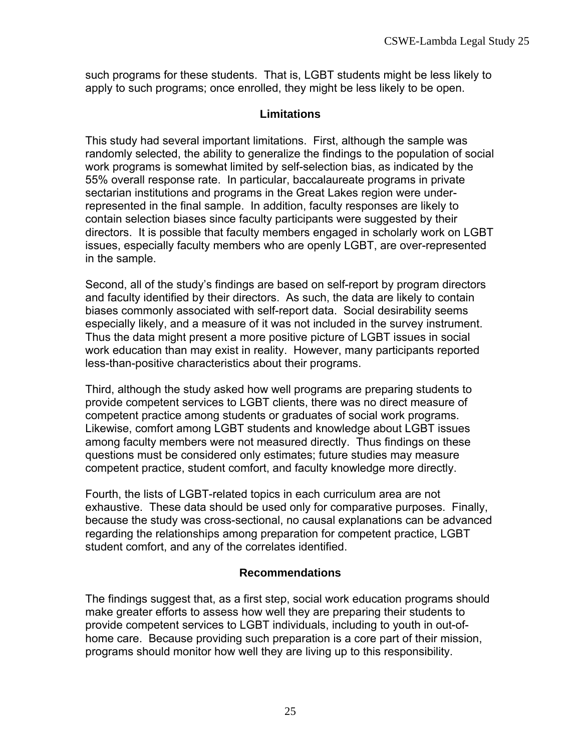such programs for these students. That is, LGBT students might be less likely to apply to such programs; once enrolled, they might be less likely to be open.

## **Limitations**

This study had several important limitations. First, although the sample was randomly selected, the ability to generalize the findings to the population of social work programs is somewhat limited by self-selection bias, as indicated by the 55% overall response rate. In particular, baccalaureate programs in private sectarian institutions and programs in the Great Lakes region were underrepresented in the final sample. In addition, faculty responses are likely to contain selection biases since faculty participants were suggested by their directors. It is possible that faculty members engaged in scholarly work on LGBT issues, especially faculty members who are openly LGBT, are over-represented in the sample.

Second, all of the study's findings are based on self-report by program directors and faculty identified by their directors. As such, the data are likely to contain biases commonly associated with self-report data. Social desirability seems especially likely, and a measure of it was not included in the survey instrument. Thus the data might present a more positive picture of LGBT issues in social work education than may exist in reality. However, many participants reported less-than-positive characteristics about their programs.

Third, although the study asked how well programs are preparing students to provide competent services to LGBT clients, there was no direct measure of competent practice among students or graduates of social work programs. Likewise, comfort among LGBT students and knowledge about LGBT issues among faculty members were not measured directly. Thus findings on these questions must be considered only estimates; future studies may measure competent practice, student comfort, and faculty knowledge more directly.

Fourth, the lists of LGBT-related topics in each curriculum area are not exhaustive. These data should be used only for comparative purposes. Finally, because the study was cross-sectional, no causal explanations can be advanced regarding the relationships among preparation for competent practice, LGBT student comfort, and any of the correlates identified.

# **Recommendations**

The findings suggest that, as a first step, social work education programs should make greater efforts to assess how well they are preparing their students to provide competent services to LGBT individuals, including to youth in out-ofhome care. Because providing such preparation is a core part of their mission, programs should monitor how well they are living up to this responsibility.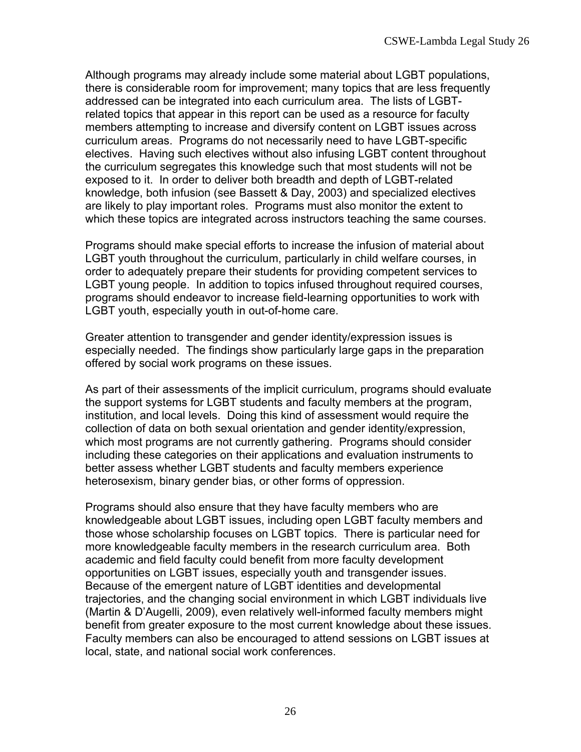Although programs may already include some material about LGBT populations, there is considerable room for improvement; many topics that are less frequently addressed can be integrated into each curriculum area. The lists of LGBTrelated topics that appear in this report can be used as a resource for faculty members attempting to increase and diversify content on LGBT issues across curriculum areas. Programs do not necessarily need to have LGBT-specific electives. Having such electives without also infusing LGBT content throughout the curriculum segregates this knowledge such that most students will not be exposed to it. In order to deliver both breadth and depth of LGBT-related knowledge, both infusion (see Bassett & Day, 2003) and specialized electives are likely to play important roles. Programs must also monitor the extent to which these topics are integrated across instructors teaching the same courses.

Programs should make special efforts to increase the infusion of material about LGBT youth throughout the curriculum, particularly in child welfare courses, in order to adequately prepare their students for providing competent services to LGBT young people. In addition to topics infused throughout required courses, programs should endeavor to increase field-learning opportunities to work with LGBT youth, especially youth in out-of-home care.

Greater attention to transgender and gender identity/expression issues is especially needed. The findings show particularly large gaps in the preparation offered by social work programs on these issues.

As part of their assessments of the implicit curriculum, programs should evaluate the support systems for LGBT students and faculty members at the program, institution, and local levels. Doing this kind of assessment would require the collection of data on both sexual orientation and gender identity/expression, which most programs are not currently gathering. Programs should consider including these categories on their applications and evaluation instruments to better assess whether LGBT students and faculty members experience heterosexism, binary gender bias, or other forms of oppression.

Programs should also ensure that they have faculty members who are knowledgeable about LGBT issues, including open LGBT faculty members and those whose scholarship focuses on LGBT topics. There is particular need for more knowledgeable faculty members in the research curriculum area. Both academic and field faculty could benefit from more faculty development opportunities on LGBT issues, especially youth and transgender issues. Because of the emergent nature of LGBT identities and developmental trajectories, and the changing social environment in which LGBT individuals live (Martin & D'Augelli, 2009), even relatively well-informed faculty members might benefit from greater exposure to the most current knowledge about these issues. Faculty members can also be encouraged to attend sessions on LGBT issues at local, state, and national social work conferences.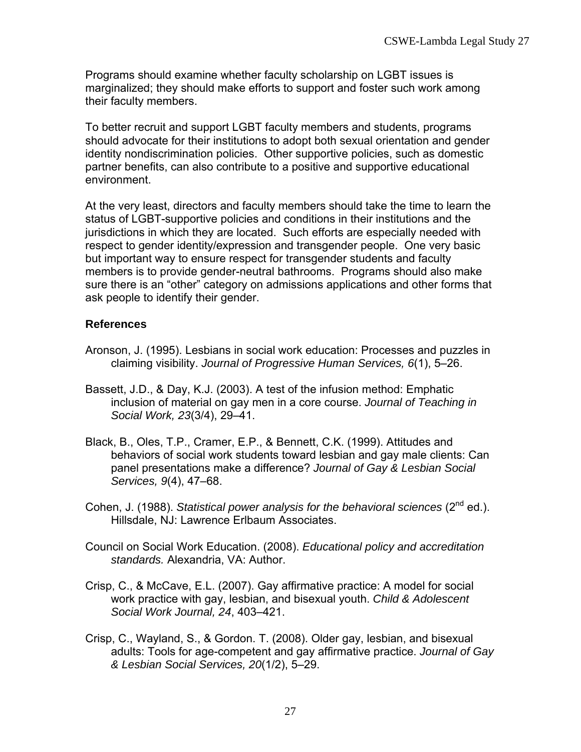Programs should examine whether faculty scholarship on LGBT issues is marginalized; they should make efforts to support and foster such work among their faculty members.

To better recruit and support LGBT faculty members and students, programs should advocate for their institutions to adopt both sexual orientation and gender identity nondiscrimination policies. Other supportive policies, such as domestic partner benefits, can also contribute to a positive and supportive educational environment.

At the very least, directors and faculty members should take the time to learn the status of LGBT-supportive policies and conditions in their institutions and the jurisdictions in which they are located. Such efforts are especially needed with respect to gender identity/expression and transgender people. One very basic but important way to ensure respect for transgender students and faculty members is to provide gender-neutral bathrooms. Programs should also make sure there is an "other" category on admissions applications and other forms that ask people to identify their gender.

## **References**

- Aronson, J. (1995). Lesbians in social work education: Processes and puzzles in claiming visibility. *Journal of Progressive Human Services, 6*(1), 5–26.
- Bassett, J.D., & Day, K.J. (2003). A test of the infusion method: Emphatic inclusion of material on gay men in a core course. *Journal of Teaching in Social Work, 23*(3/4), 29–41.
- Black, B., Oles, T.P., Cramer, E.P., & Bennett, C.K. (1999). Attitudes and behaviors of social work students toward lesbian and gay male clients: Can panel presentations make a difference? *Journal of Gay & Lesbian Social Services, 9*(4), 47–68.
- Cohen, J. (1988). *Statistical power analysis for the behavioral sciences* (2<sup>nd</sup> ed.). Hillsdale, NJ: Lawrence Erlbaum Associates.
- Council on Social Work Education. (2008). *Educational policy and accreditation standards.* Alexandria, VA: Author.
- Crisp, C., & McCave, E.L. (2007). Gay affirmative practice: A model for social work practice with gay, lesbian, and bisexual youth. *Child & Adolescent Social Work Journal, 24*, 403–421.
- Crisp, C., Wayland, S., & Gordon. T. (2008). Older gay, lesbian, and bisexual adults: Tools for age-competent and gay affirmative practice. *Journal of Gay & Lesbian Social Services, 20*(1/2), 5–29.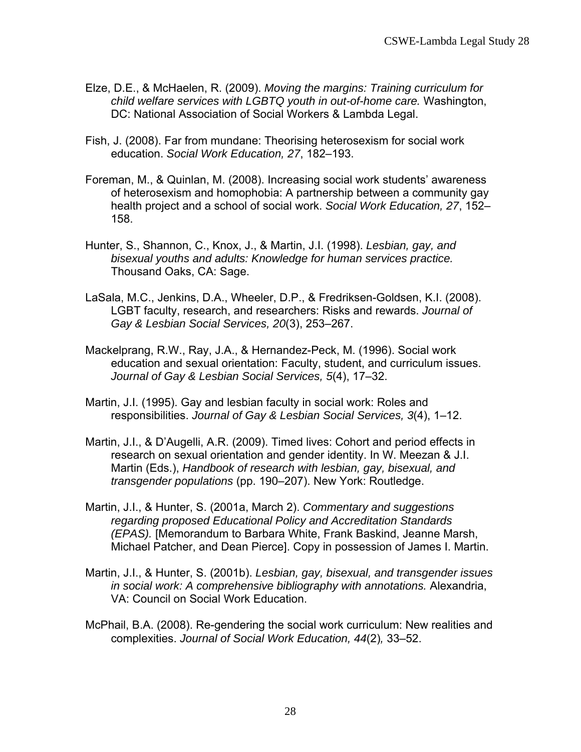- Elze, D.E., & McHaelen, R. (2009). *Moving the margins: Training curriculum for child welfare services with LGBTQ youth in out-of-home care.* Washington, DC: National Association of Social Workers & Lambda Legal.
- Fish, J. (2008). Far from mundane: Theorising heterosexism for social work education. *Social Work Education, 27*, 182–193.
- Foreman, M., & Quinlan, M. (2008). Increasing social work students' awareness of heterosexism and homophobia: A partnership between a community gay health project and a school of social work. *Social Work Education, 27*, 152– 158.
- Hunter, S., Shannon, C., Knox, J., & Martin, J.I. (1998). *Lesbian, gay, and bisexual youths and adults: Knowledge for human services practice.* Thousand Oaks, CA: Sage.
- LaSala, M.C., Jenkins, D.A., Wheeler, D.P., & Fredriksen-Goldsen, K.I. (2008). LGBT faculty, research, and researchers: Risks and rewards. *Journal of Gay & Lesbian Social Services, 20*(3), 253–267.
- Mackelprang, R.W., Ray, J.A., & Hernandez-Peck, M. (1996). Social work education and sexual orientation: Faculty, student, and curriculum issues. *Journal of Gay & Lesbian Social Services, 5*(4), 17–32.
- Martin, J.I. (1995). Gay and lesbian faculty in social work: Roles and responsibilities. *Journal of Gay & Lesbian Social Services, 3*(4), 1–12.
- Martin, J.I., & D'Augelli, A.R. (2009). Timed lives: Cohort and period effects in research on sexual orientation and gender identity. In W. Meezan & J.I. Martin (Eds.), *Handbook of research with lesbian, gay, bisexual, and transgender populations* (pp. 190–207). New York: Routledge.
- Martin, J.I., & Hunter, S. (2001a, March 2). *Commentary and suggestions regarding proposed Educational Policy and Accreditation Standards (EPAS).* [Memorandum to Barbara White, Frank Baskind, Jeanne Marsh, Michael Patcher, and Dean Pierce]. Copy in possession of James I. Martin.
- Martin, J.I., & Hunter, S. (2001b). *Lesbian, gay, bisexual, and transgender issues in social work: A comprehensive bibliography with annotations.* Alexandria, VA: Council on Social Work Education.
- McPhail, B.A. (2008). Re-gendering the social work curriculum: New realities and complexities. *Journal of Social Work Education, 44*(2)*,* 33–52.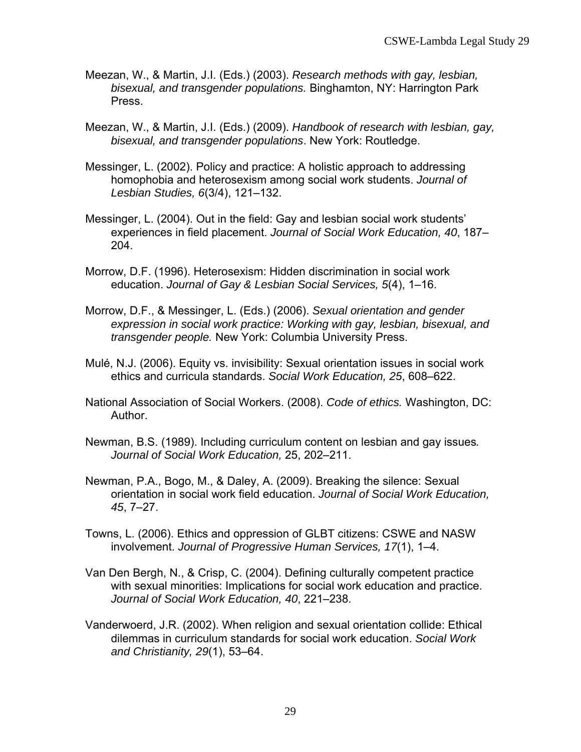- Meezan, W., & Martin, J.I. (Eds.) (2003). *Research methods with gay, lesbian, bisexual, and transgender populations.* Binghamton, NY: Harrington Park Press.
- Meezan, W., & Martin, J.I. (Eds.) (2009). *Handbook of research with lesbian, gay, bisexual, and transgender populations*. New York: Routledge.
- Messinger, L. (2002). Policy and practice: A holistic approach to addressing homophobia and heterosexism among social work students. *Journal of Lesbian Studies, 6*(3/4), 121–132.
- Messinger, L. (2004). Out in the field: Gay and lesbian social work students' experiences in field placement. *Journal of Social Work Education, 40*, 187– 204.
- Morrow, D.F. (1996). Heterosexism: Hidden discrimination in social work education. *Journal of Gay & Lesbian Social Services, 5*(4), 1–16.
- Morrow, D.F., & Messinger, L. (Eds.) (2006). *Sexual orientation and gender expression in social work practice: Working with gay, lesbian, bisexual, and transgender people.* New York: Columbia University Press.
- Mulé, N.J. (2006). Equity vs. invisibility: Sexual orientation issues in social work ethics and curricula standards. *Social Work Education, 25*, 608–622.
- National Association of Social Workers. (2008). *Code of ethics.* Washington, DC: Author.
- Newman, B.S. (1989). Including curriculum content on lesbian and gay issues*. Journal of Social Work Education,* 25, 202–211.
- Newman, P.A., Bogo, M., & Daley, A. (2009). Breaking the silence: Sexual orientation in social work field education. *Journal of Social Work Education, 45*, 7–27.
- Towns, L. (2006). Ethics and oppression of GLBT citizens: CSWE and NASW involvement. *Journal of Progressive Human Services, 17*(1), 1–4.
- Van Den Bergh, N., & Crisp, C. (2004). Defining culturally competent practice with sexual minorities: Implications for social work education and practice. *Journal of Social Work Education, 40*, 221–238.
- Vanderwoerd, J.R. (2002). When religion and sexual orientation collide: Ethical dilemmas in curriculum standards for social work education. *Social Work and Christianity, 29*(1), 53–64.